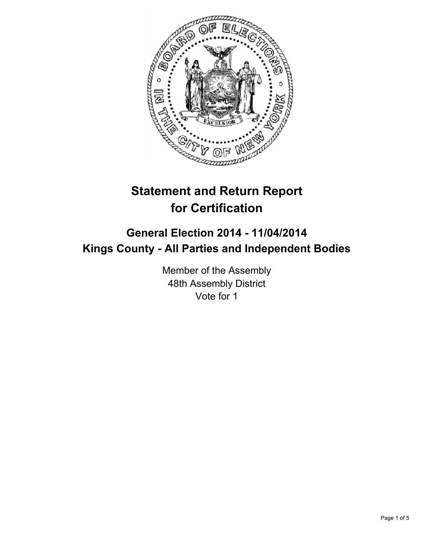

# **Statement and Return Report for Certification**

## **General Election 2014 - 11/04/2014 Kings County - All Parties and Independent Bodies**

Member of the Assembly 48th Assembly District Vote for 1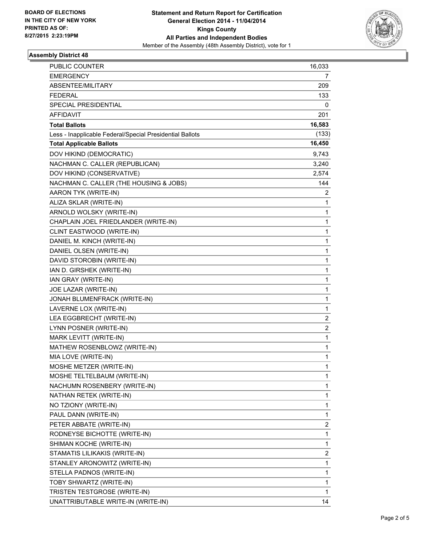

#### **Assembly District 48**

| PUBLIC COUNTER                                           | 16,033         |
|----------------------------------------------------------|----------------|
| <b>EMERGENCY</b>                                         | 7              |
| ABSENTEE/MILITARY                                        | 209            |
| <b>FEDERAL</b>                                           | 133            |
| <b>SPECIAL PRESIDENTIAL</b>                              | 0              |
| <b>AFFIDAVIT</b>                                         | 201            |
| <b>Total Ballots</b>                                     | 16,583         |
| Less - Inapplicable Federal/Special Presidential Ballots | (133)          |
| <b>Total Applicable Ballots</b>                          | 16,450         |
| DOV HIKIND (DEMOCRATIC)                                  | 9,743          |
| NACHMAN C. CALLER (REPUBLICAN)                           | 3,240          |
| DOV HIKIND (CONSERVATIVE)                                | 2,574          |
| NACHMAN C. CALLER (THE HOUSING & JOBS)                   | 144            |
| AARON TYK (WRITE-IN)                                     | 2              |
| ALIZA SKLAR (WRITE-IN)                                   | 1              |
| ARNOLD WOLSKY (WRITE-IN)                                 | $\mathbf{1}$   |
| CHAPLAIN JOEL FRIEDLANDER (WRITE-IN)                     | 1              |
| CLINT EASTWOOD (WRITE-IN)                                | 1              |
| DANIEL M. KINCH (WRITE-IN)                               | 1              |
| DANIEL OLSEN (WRITE-IN)                                  | 1              |
| DAVID STOROBIN (WRITE-IN)                                | 1              |
| IAN D. GIRSHEK (WRITE-IN)                                | 1              |
| IAN GRAY (WRITE-IN)                                      | 1              |
| JOE LAZAR (WRITE-IN)                                     | 1              |
| JONAH BLUMENFRACK (WRITE-IN)                             | 1              |
| LAVERNE LOX (WRITE-IN)                                   | 1              |
| LEA EGGBRECHT (WRITE-IN)                                 | 2              |
| LYNN POSNER (WRITE-IN)                                   | $\overline{c}$ |
| MARK LEVITT (WRITE-IN)                                   | 1              |
| MATHEW ROSENBLOWZ (WRITE-IN)                             | 1              |
| MIA LOVE (WRITE-IN)                                      | 1              |
| MOSHE METZER (WRITE-IN)                                  | 1              |
| MOSHE TELTELBAUM (WRITE-IN)                              | 1              |
| NACHUMN ROSENBERY (WRITE-IN)                             | 1              |
| NATHAN RETEK (WRITE-IN)                                  | 1              |
| NO TZIONY (WRITE-IN)                                     | 1              |
| PAUL DANN (WRITE-IN)                                     | 1              |
| PETER ABBATE (WRITE-IN)                                  | 2              |
| RODNEYSE BICHOTTE (WRITE-IN)                             | 1              |
| SHIMAN KOCHE (WRITE-IN)                                  | $\mathbf{1}$   |
| STAMATIS LILIKAKIS (WRITE-IN)                            | 2              |
| STANLEY ARONOWITZ (WRITE-IN)                             | 1              |
| STELLA PADNOS (WRITE-IN)                                 | 1              |
| TOBY SHWARTZ (WRITE-IN)                                  | 1              |
| TRISTEN TESTGROSE (WRITE-IN)                             | 1              |
| UNATTRIBUTABLE WRITE-IN (WRITE-IN)                       | 14             |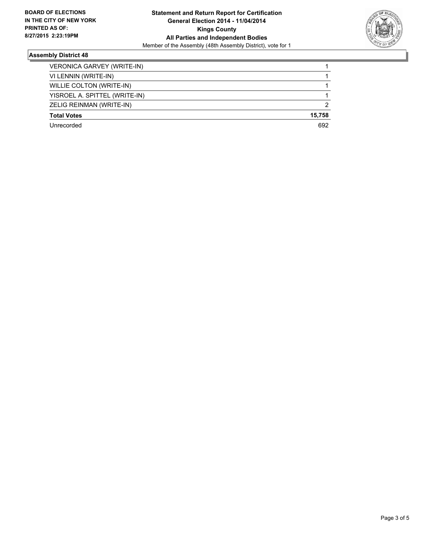

#### **Assembly District 48**

| VERONICA GARVEY (WRITE-IN)    |                |
|-------------------------------|----------------|
| VI LENNIN (WRITE-IN)          |                |
| WILLIE COLTON (WRITE-IN)      |                |
| YISROEL A. SPITTEL (WRITE-IN) |                |
| ZELIG REINMAN (WRITE-IN)      | $\overline{2}$ |
| <b>Total Votes</b>            | 15,758         |
| Unrecorded                    | 692            |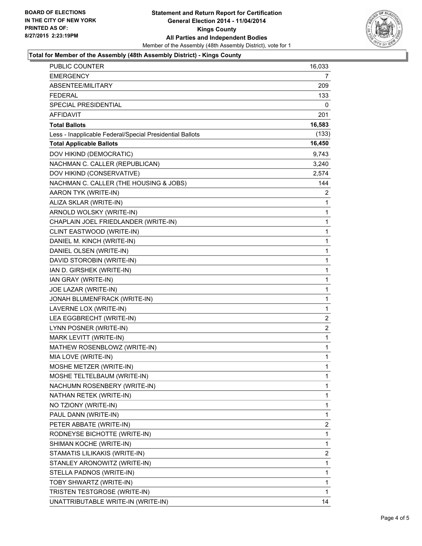

#### **Total for Member of the Assembly (48th Assembly District) - Kings County**

| <b>PUBLIC COUNTER</b>                                    | 16,033         |
|----------------------------------------------------------|----------------|
| <b>EMERGENCY</b>                                         | 7              |
| ABSENTEE/MILITARY                                        | 209            |
| <b>FEDERAL</b>                                           | 133            |
| SPECIAL PRESIDENTIAL                                     | 0              |
| <b>AFFIDAVIT</b>                                         | 201            |
| <b>Total Ballots</b>                                     | 16,583         |
| Less - Inapplicable Federal/Special Presidential Ballots | (133)          |
| <b>Total Applicable Ballots</b>                          | 16,450         |
| DOV HIKIND (DEMOCRATIC)                                  | 9,743          |
| NACHMAN C. CALLER (REPUBLICAN)                           | 3,240          |
| DOV HIKIND (CONSERVATIVE)                                | 2,574          |
| NACHMAN C. CALLER (THE HOUSING & JOBS)                   | 144            |
| AARON TYK (WRITE-IN)                                     | 2              |
| ALIZA SKLAR (WRITE-IN)                                   | 1              |
| ARNOLD WOLSKY (WRITE-IN)                                 | 1              |
| CHAPLAIN JOEL FRIEDLANDER (WRITE-IN)                     | 1              |
| CLINT EASTWOOD (WRITE-IN)                                | 1              |
| DANIEL M. KINCH (WRITE-IN)                               | 1              |
| DANIEL OLSEN (WRITE-IN)                                  | 1              |
| DAVID STOROBIN (WRITE-IN)                                | 1              |
| IAN D. GIRSHEK (WRITE-IN)                                | 1              |
| IAN GRAY (WRITE-IN)                                      | 1              |
| JOE LAZAR (WRITE-IN)                                     | 1              |
| JONAH BLUMENFRACK (WRITE-IN)                             | 1              |
| LAVERNE LOX (WRITE-IN)                                   | 1              |
| LEA EGGBRECHT (WRITE-IN)                                 | $\overline{2}$ |
| LYNN POSNER (WRITE-IN)                                   | 2              |
| MARK LEVITT (WRITE-IN)                                   | 1              |
| MATHEW ROSENBLOWZ (WRITE-IN)                             | $\mathbf{1}$   |
| MIA LOVE (WRITE-IN)                                      | $\mathbf{1}$   |
| MOSHE METZER (WRITE-IN)                                  | 1              |
| MOSHE TELTELBAUM (WRITE-IN)                              | 1              |
| NACHUMN ROSENBERY (WRITE-IN)                             | 1              |
| NATHAN RETEK (WRITE-IN)                                  | 1              |
| NO TZIONY (WRITE-IN)                                     | 1              |
| PAUL DANN (WRITE-IN)                                     | 1              |
| PETER ABBATE (WRITE-IN)                                  | 2              |
| RODNEYSE BICHOTTE (WRITE-IN)                             | 1              |
| SHIMAN KOCHE (WRITE-IN)                                  | 1              |
| STAMATIS LILIKAKIS (WRITE-IN)                            | 2              |
| STANLEY ARONOWITZ (WRITE-IN)                             | 1              |
| STELLA PADNOS (WRITE-IN)                                 | 1              |
| TOBY SHWARTZ (WRITE-IN)                                  | 1              |
| TRISTEN TESTGROSE (WRITE-IN)                             | 1              |
| UNATTRIBUTABLE WRITE-IN (WRITE-IN)                       | 14             |
|                                                          |                |